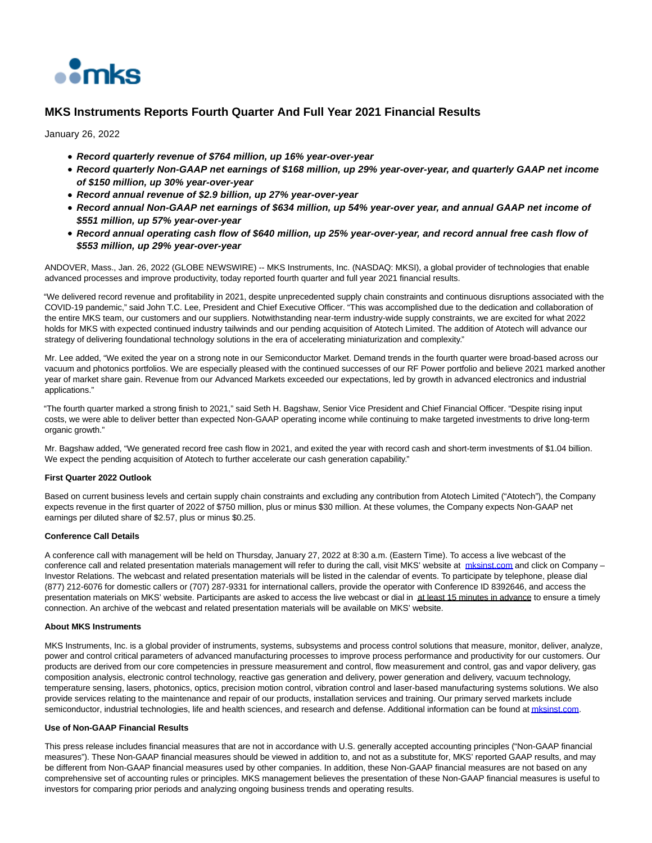

# **MKS Instruments Reports Fourth Quarter And Full Year 2021 Financial Results**

January 26, 2022

- **Record quarterly revenue of \$764 million, up 16% year-over-year**
- **Record quarterly Non-GAAP net earnings of \$168 million, up 29% year-over-year, and quarterly GAAP net income of \$150 million, up 30% year-over-year**
- **Record annual revenue of \$2.9 billion, up 27% year-over-year**
- **Record annual Non-GAAP net earnings of \$634 million, up 54% year-over year, and annual GAAP net income of \$551 million, up 57% year-over-year**
- **Record annual operating cash flow of \$640 million, up 25% year-over-year, and record annual free cash flow of \$553 million, up 29% year-over-year**

ANDOVER, Mass., Jan. 26, 2022 (GLOBE NEWSWIRE) -- MKS Instruments, Inc. (NASDAQ: MKSI), a global provider of technologies that enable advanced processes and improve productivity, today reported fourth quarter and full year 2021 financial results.

"We delivered record revenue and profitability in 2021, despite unprecedented supply chain constraints and continuous disruptions associated with the COVID-19 pandemic," said John T.C. Lee, President and Chief Executive Officer. "This was accomplished due to the dedication and collaboration of the entire MKS team, our customers and our suppliers. Notwithstanding near-term industry-wide supply constraints, we are excited for what 2022 holds for MKS with expected continued industry tailwinds and our pending acquisition of Atotech Limited. The addition of Atotech will advance our strategy of delivering foundational technology solutions in the era of accelerating miniaturization and complexity."

Mr. Lee added, "We exited the year on a strong note in our Semiconductor Market. Demand trends in the fourth quarter were broad-based across our vacuum and photonics portfolios. We are especially pleased with the continued successes of our RF Power portfolio and believe 2021 marked another year of market share gain. Revenue from our Advanced Markets exceeded our expectations, led by growth in advanced electronics and industrial applications."

"The fourth quarter marked a strong finish to 2021," said Seth H. Bagshaw, Senior Vice President and Chief Financial Officer. "Despite rising input costs, we were able to deliver better than expected Non-GAAP operating income while continuing to make targeted investments to drive long-term organic growth."

Mr. Bagshaw added, "We generated record free cash flow in 2021, and exited the year with record cash and short-term investments of \$1.04 billion. We expect the pending acquisition of Atotech to further accelerate our cash generation capability."

### **First Quarter 2022 Outlook**

Based on current business levels and certain supply chain constraints and excluding any contribution from Atotech Limited ("Atotech"), the Company expects revenue in the first quarter of 2022 of \$750 million, plus or minus \$30 million. At these volumes, the Company expects Non-GAAP net earnings per diluted share of \$2.57, plus or minus \$0.25.

### **Conference Call Details**

A conference call with management will be held on Thursday, January 27, 2022 at 8:30 a.m. (Eastern Time). To access a live webcast of the conference call and related presentation materials management will refer to during the call, visit MKS' website at missinst.com and click on Company – Investor Relations. The webcast and related presentation materials will be listed in the calendar of events. To participate by telephone, please dial (877) 212-6076 for domestic callers or (707) 287-9331 for international callers, provide the operator with Conference ID 8392646, and access the presentation materials on MKS' website. Participants are asked to access the live webcast or dial in at least 15 minutes in advance to ensure a timely connection. An archive of the webcast and related presentation materials will be available on MKS' website.

#### **About MKS Instruments**

MKS Instruments, Inc. is a global provider of instruments, systems, subsystems and process control solutions that measure, monitor, deliver, analyze, power and control critical parameters of advanced manufacturing processes to improve process performance and productivity for our customers. Our products are derived from our core competencies in pressure measurement and control, flow measurement and control, gas and vapor delivery, gas composition analysis, electronic control technology, reactive gas generation and delivery, power generation and delivery, vacuum technology, temperature sensing, lasers, photonics, optics, precision motion control, vibration control and laser-based manufacturing systems solutions. We also provide services relating to the maintenance and repair of our products, installation services and training. Our primary served markets include semiconductor, industrial technologies, life and health sciences, and research and defense. Additional information can be found at *mksinst.com*.

#### **Use of Non-GAAP Financial Results**

This press release includes financial measures that are not in accordance with U.S. generally accepted accounting principles ("Non-GAAP financial measures"). These Non-GAAP financial measures should be viewed in addition to, and not as a substitute for, MKS' reported GAAP results, and may be different from Non-GAAP financial measures used by other companies. In addition, these Non-GAAP financial measures are not based on any comprehensive set of accounting rules or principles. MKS management believes the presentation of these Non-GAAP financial measures is useful to investors for comparing prior periods and analyzing ongoing business trends and operating results.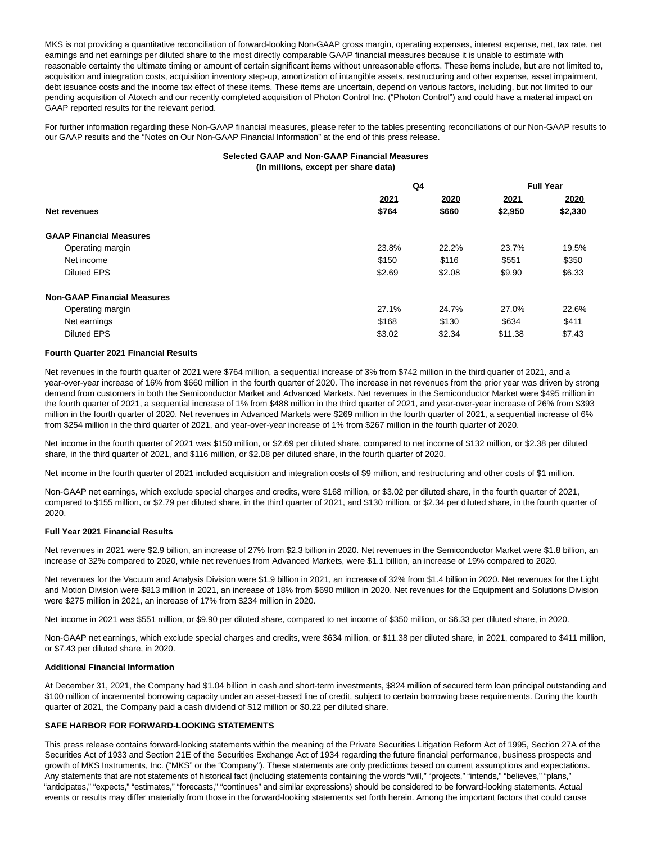MKS is not providing a quantitative reconciliation of forward-looking Non-GAAP gross margin, operating expenses, interest expense, net, tax rate, net earnings and net earnings per diluted share to the most directly comparable GAAP financial measures because it is unable to estimate with reasonable certainty the ultimate timing or amount of certain significant items without unreasonable efforts. These items include, but are not limited to, acquisition and integration costs, acquisition inventory step-up, amortization of intangible assets, restructuring and other expense, asset impairment, debt issuance costs and the income tax effect of these items. These items are uncertain, depend on various factors, including, but not limited to our pending acquisition of Atotech and our recently completed acquisition of Photon Control Inc. ("Photon Control") and could have a material impact on GAAP reported results for the relevant period.

For further information regarding these Non-GAAP financial measures, please refer to the tables presenting reconciliations of our Non-GAAP results to our GAAP results and the "Notes on Our Non-GAAP Financial Information" at the end of this press release.

### **Selected GAAP and Non-GAAP Financial Measures (In millions, except per share data)**

|                                    | Q4     |        | <b>Full Year</b> |         |
|------------------------------------|--------|--------|------------------|---------|
|                                    | 2021   | 2020   | 2021             | 2020    |
| Net revenues                       | \$764  | \$660  | \$2,950          | \$2,330 |
| <b>GAAP Financial Measures</b>     |        |        |                  |         |
| Operating margin                   | 23.8%  | 22.2%  | 23.7%            | 19.5%   |
| Net income                         | \$150  | \$116  | \$551            | \$350   |
| <b>Diluted EPS</b>                 | \$2.69 | \$2.08 | \$9.90           | \$6.33  |
| <b>Non-GAAP Financial Measures</b> |        |        |                  |         |
| Operating margin                   | 27.1%  | 24.7%  | 27.0%            | 22.6%   |
| Net earnings                       | \$168  | \$130  | \$634            | \$411   |
| <b>Diluted EPS</b>                 | \$3.02 | \$2.34 | \$11.38          | \$7.43  |

#### **Fourth Quarter 2021 Financial Results**

Net revenues in the fourth quarter of 2021 were \$764 million, a sequential increase of 3% from \$742 million in the third quarter of 2021, and a year-over-year increase of 16% from \$660 million in the fourth quarter of 2020. The increase in net revenues from the prior year was driven by strong demand from customers in both the Semiconductor Market and Advanced Markets. Net revenues in the Semiconductor Market were \$495 million in the fourth quarter of 2021, a sequential increase of 1% from \$488 million in the third quarter of 2021, and year-over-year increase of 26% from \$393 million in the fourth quarter of 2020. Net revenues in Advanced Markets were \$269 million in the fourth quarter of 2021, a sequential increase of 6% from \$254 million in the third quarter of 2021, and year-over-year increase of 1% from \$267 million in the fourth quarter of 2020.

Net income in the fourth quarter of 2021 was \$150 million, or \$2.69 per diluted share, compared to net income of \$132 million, or \$2.38 per diluted share, in the third quarter of 2021, and \$116 million, or \$2.08 per diluted share, in the fourth quarter of 2020.

Net income in the fourth quarter of 2021 included acquisition and integration costs of \$9 million, and restructuring and other costs of \$1 million.

Non-GAAP net earnings, which exclude special charges and credits, were \$168 million, or \$3.02 per diluted share, in the fourth quarter of 2021, compared to \$155 million, or \$2.79 per diluted share, in the third quarter of 2021, and \$130 million, or \$2.34 per diluted share, in the fourth quarter of 2020.

### **Full Year 2021 Financial Results**

Net revenues in 2021 were \$2.9 billion, an increase of 27% from \$2.3 billion in 2020. Net revenues in the Semiconductor Market were \$1.8 billion, an increase of 32% compared to 2020, while net revenues from Advanced Markets, were \$1.1 billion, an increase of 19% compared to 2020.

Net revenues for the Vacuum and Analysis Division were \$1.9 billion in 2021, an increase of 32% from \$1.4 billion in 2020. Net revenues for the Light and Motion Division were \$813 million in 2021, an increase of 18% from \$690 million in 2020. Net revenues for the Equipment and Solutions Division were \$275 million in 2021, an increase of 17% from \$234 million in 2020.

Net income in 2021 was \$551 million, or \$9.90 per diluted share, compared to net income of \$350 million, or \$6.33 per diluted share, in 2020.

Non-GAAP net earnings, which exclude special charges and credits, were \$634 million, or \$11.38 per diluted share, in 2021, compared to \$411 million, or \$7.43 per diluted share, in 2020.

#### **Additional Financial Information**

At December 31, 2021, the Company had \$1.04 billion in cash and short-term investments, \$824 million of secured term loan principal outstanding and \$100 million of incremental borrowing capacity under an asset-based line of credit, subject to certain borrowing base requirements. During the fourth quarter of 2021, the Company paid a cash dividend of \$12 million or \$0.22 per diluted share.

### **SAFE HARBOR FOR FORWARD-LOOKING STATEMENTS**

This press release contains forward-looking statements within the meaning of the Private Securities Litigation Reform Act of 1995, Section 27A of the Securities Act of 1933 and Section 21E of the Securities Exchange Act of 1934 regarding the future financial performance, business prospects and growth of MKS Instruments, Inc. ("MKS" or the "Company"). These statements are only predictions based on current assumptions and expectations. Any statements that are not statements of historical fact (including statements containing the words "will," "projects," "intends," "believes," "plans," "anticipates," "expects," "estimates," "forecasts," "continues" and similar expressions) should be considered to be forward-looking statements. Actual events or results may differ materially from those in the forward-looking statements set forth herein. Among the important factors that could cause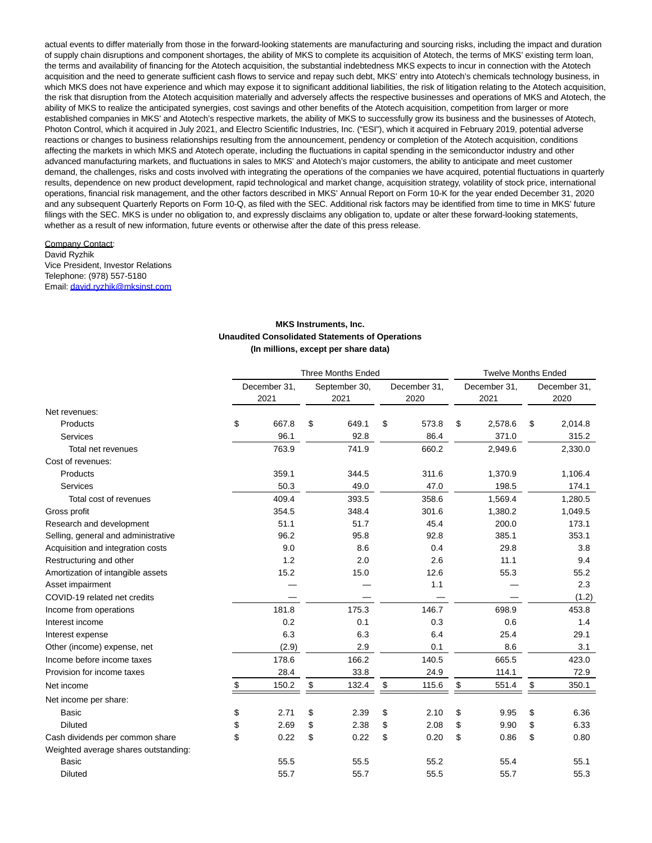actual events to differ materially from those in the forward-looking statements are manufacturing and sourcing risks, including the impact and duration of supply chain disruptions and component shortages, the ability of MKS to complete its acquisition of Atotech, the terms of MKS' existing term loan, the terms and availability of financing for the Atotech acquisition, the substantial indebtedness MKS expects to incur in connection with the Atotech acquisition and the need to generate sufficient cash flows to service and repay such debt, MKS' entry into Atotech's chemicals technology business, in which MKS does not have experience and which may expose it to significant additional liabilities, the risk of litigation relating to the Atotech acquisition, the risk that disruption from the Atotech acquisition materially and adversely affects the respective businesses and operations of MKS and Atotech, the ability of MKS to realize the anticipated synergies, cost savings and other benefits of the Atotech acquisition, competition from larger or more established companies in MKS' and Atotech's respective markets, the ability of MKS to successfully grow its business and the businesses of Atotech, Photon Control, which it acquired in July 2021, and Electro Scientific Industries, Inc. ("ESI"), which it acquired in February 2019, potential adverse reactions or changes to business relationships resulting from the announcement, pendency or completion of the Atotech acquisition, conditions affecting the markets in which MKS and Atotech operate, including the fluctuations in capital spending in the semiconductor industry and other advanced manufacturing markets, and fluctuations in sales to MKS' and Atotech's major customers, the ability to anticipate and meet customer demand, the challenges, risks and costs involved with integrating the operations of the companies we have acquired, potential fluctuations in quarterly results, dependence on new product development, rapid technological and market change, acquisition strategy, volatility of stock price, international operations, financial risk management, and the other factors described in MKS' Annual Report on Form 10-K for the year ended December 31, 2020 and any subsequent Quarterly Reports on Form 10-Q, as filed with the SEC. Additional risk factors may be identified from time to time in MKS' future filings with the SEC. MKS is under no obligation to, and expressly disclaims any obligation to, update or alter these forward-looking statements, whether as a result of new information, future events or otherwise after the date of this press release.

#### Company Contact: David Ryzhik Vice President, Investor Relations Telephone: (978) 557-5180 Email[: david.ryzhik@mksinst.com](https://www.globenewswire.com/Tracker?data=dzjQyWFqUMR0GLlcyy2vZIiGL78uoi-j0slf91ldb74zmYaxEx4m1aTpP0DLjU-bEbLiYdRdovde4jijFEzWH65CwGb7uszfha4iS2whd8U=)

## **MKS Instruments, Inc. Unaudited Consolidated Statements of Operations (In millions, except per share data)**

|                                      |              | <b>Three Months Ended</b> |              | <b>Twelve Months Ended</b> |              |      |              |  |  |
|--------------------------------------|--------------|---------------------------|--------------|----------------------------|--------------|------|--------------|--|--|
|                                      | December 31, | September 30,             | December 31, |                            | December 31, |      | December 31, |  |  |
|                                      | 2021         | 2021                      | 2020         |                            | 2021         | 2020 |              |  |  |
| Net revenues:                        |              |                           |              |                            |              |      |              |  |  |
| Products                             | \$<br>667.8  | \$<br>649.1               | \$<br>573.8  | \$                         | 2,578.6      | \$   | 2,014.8      |  |  |
| Services                             | 96.1         | 92.8                      | 86.4         |                            | 371.0        |      | 315.2        |  |  |
| Total net revenues                   | 763.9        | 741.9                     | 660.2        |                            | 2,949.6      |      | 2,330.0      |  |  |
| Cost of revenues:                    |              |                           |              |                            |              |      |              |  |  |
| Products                             | 359.1        | 344.5                     | 311.6        |                            | 1,370.9      |      | 1,106.4      |  |  |
| Services                             | 50.3         | 49.0                      | 47.0         |                            | 198.5        |      | 174.1        |  |  |
| Total cost of revenues               | 409.4        | 393.5                     | 358.6        |                            | 1.569.4      |      | 1,280.5      |  |  |
| Gross profit                         | 354.5        | 348.4                     | 301.6        |                            | 1,380.2      |      | 1,049.5      |  |  |
| Research and development             | 51.1         | 51.7                      | 45.4         |                            | 200.0        |      | 173.1        |  |  |
| Selling, general and administrative  | 96.2         | 95.8                      | 92.8         |                            | 385.1        |      | 353.1        |  |  |
| Acquisition and integration costs    | 9.0          | 8.6                       | 0.4          |                            | 29.8         |      | 3.8          |  |  |
| Restructuring and other              | 1.2          | 2.0                       | 2.6          |                            | 11.1         |      | 9.4          |  |  |
| Amortization of intangible assets    | 15.2         | 15.0                      | 12.6         |                            | 55.3         |      | 55.2         |  |  |
| Asset impairment                     |              |                           | 1.1          |                            |              |      | 2.3          |  |  |
| COVID-19 related net credits         |              |                           |              |                            |              |      | (1.2)        |  |  |
| Income from operations               | 181.8        | 175.3                     | 146.7        |                            | 698.9        |      | 453.8        |  |  |
| Interest income                      | 0.2          | 0.1                       | 0.3          |                            | 0.6          |      | 1.4          |  |  |
| Interest expense                     | 6.3          | 6.3                       | 6.4          |                            | 25.4         |      | 29.1         |  |  |
| Other (income) expense, net          | (2.9)        | 2.9                       | 0.1          |                            | 8.6          |      | 3.1          |  |  |
| Income before income taxes           | 178.6        | 166.2                     | 140.5        |                            | 665.5        |      | 423.0        |  |  |
| Provision for income taxes           | 28.4         | 33.8                      | 24.9         |                            | 114.1        |      | 72.9         |  |  |
| Net income                           | \$<br>150.2  | \$<br>132.4               | \$<br>115.6  | \$                         | 551.4        | \$   | 350.1        |  |  |
| Net income per share:                |              |                           |              |                            |              |      |              |  |  |
| Basic                                | \$<br>2.71   | \$<br>2.39                | \$<br>2.10   | \$                         | 9.95         | \$   | 6.36         |  |  |
| <b>Diluted</b>                       | \$<br>2.69   | \$<br>2.38                | \$<br>2.08   | \$                         | 9.90         | \$   | 6.33         |  |  |
| Cash dividends per common share      | \$<br>0.22   | \$<br>0.22                | \$<br>0.20   | \$                         | 0.86         | \$   | 0.80         |  |  |
| Weighted average shares outstanding: |              |                           |              |                            |              |      |              |  |  |
| <b>Basic</b>                         | 55.5         | 55.5                      | 55.2         |                            | 55.4         |      | 55.1         |  |  |
| <b>Diluted</b>                       | 55.7         | 55.7                      | 55.5         |                            | 55.7         |      | 55.3         |  |  |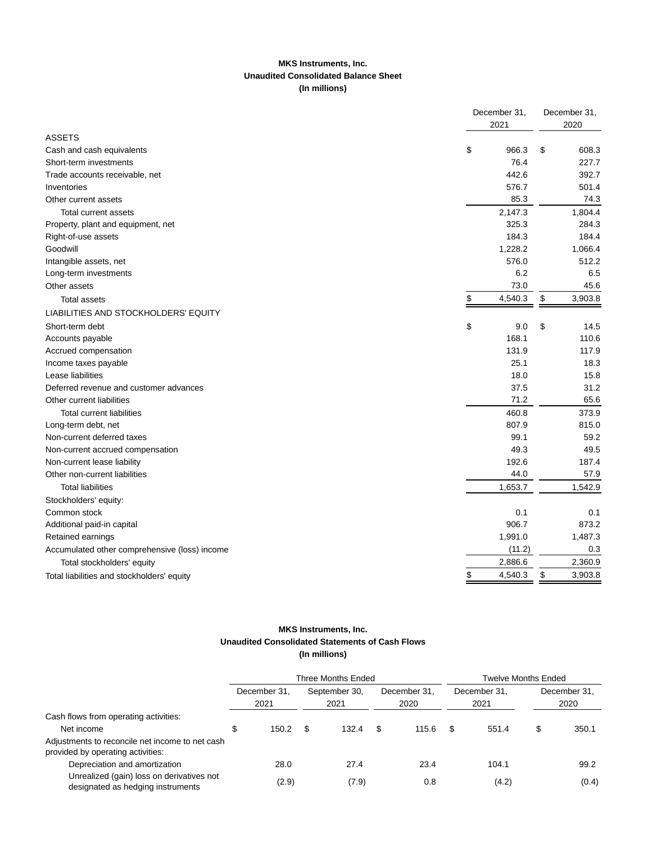## **MKS Instruments, Inc. Unaudited Consolidated Balance Sheet (In millions)**

|                                               | December 31,<br>2021 | December 31,<br>2020 |
|-----------------------------------------------|----------------------|----------------------|
| <b>ASSETS</b>                                 |                      |                      |
| Cash and cash equivalents                     | \$<br>966.3          | \$<br>608.3          |
| Short-term investments                        | 76.4                 | 227.7                |
| Trade accounts receivable, net                | 442.6                | 392.7                |
| Inventories                                   | 576.7                | 501.4                |
| Other current assets                          | 85.3                 | 74.3                 |
| <b>Total current assets</b>                   | 2,147.3              | 1,804.4              |
| Property, plant and equipment, net            | 325.3                | 284.3                |
| Right-of-use assets                           | 184.3                | 184.4                |
| Goodwill                                      | 1,228.2              | 1,066.4              |
| Intangible assets, net                        | 576.0                | 512.2                |
| Long-term investments                         | 6.2                  | 6.5                  |
| Other assets                                  | 73.0                 | 45.6                 |
| <b>Total assets</b>                           | \$<br>4,540.3        | \$<br>3,903.8        |
| LIABILITIES AND STOCKHOLDERS' EQUITY          |                      |                      |
| Short-term debt                               | \$<br>9.0            | \$<br>14.5           |
| Accounts payable                              | 168.1                | 110.6                |
| Accrued compensation                          | 131.9                | 117.9                |
| Income taxes payable                          | 25.1                 | 18.3                 |
| Lease liabilities                             | 18.0                 | 15.8                 |
| Deferred revenue and customer advances        | 37.5                 | 31.2                 |
| Other current liabilities                     | 71.2                 | 65.6                 |
| <b>Total current liabilities</b>              | 460.8                | 373.9                |
| Long-term debt, net                           | 807.9                | 815.0                |
| Non-current deferred taxes                    | 99.1                 | 59.2                 |
| Non-current accrued compensation              | 49.3                 | 49.5                 |
| Non-current lease liability                   | 192.6                | 187.4                |
| Other non-current liabilities                 | 44.0                 | 57.9                 |
| <b>Total liabilities</b>                      | 1,653.7              | 1,542.9              |
| Stockholders' equity:                         |                      |                      |
| Common stock                                  | 0.1                  | 0.1                  |
| Additional paid-in capital                    | 906.7                | 873.2                |
| Retained earnings                             | 1,991.0              | 1,487.3              |
| Accumulated other comprehensive (loss) income | (11.2)               | 0.3                  |
| Total stockholders' equity                    | 2,886.6              | 2,360.9              |
| Total liabilities and stockholders' equity    | \$<br>4,540.3        | \$<br>3,903.8        |

## **MKS Instruments, Inc. Unaudited Consolidated Statements of Cash Flows (In millions)**

|                                                                                      |   |                      |  | Three Months Ended    | Twelve Months Ended |                      |  |                      |    |                      |
|--------------------------------------------------------------------------------------|---|----------------------|--|-----------------------|---------------------|----------------------|--|----------------------|----|----------------------|
|                                                                                      |   | December 31.<br>2021 |  | September 30,<br>2021 |                     | December 31,<br>2020 |  | December 31,<br>2021 |    | December 31.<br>2020 |
| Cash flows from operating activities:                                                |   |                      |  |                       |                     |                      |  |                      |    |                      |
| Net income                                                                           | S | 150.2                |  | 132.4                 |                     | 115.6                |  | 551.4                | \$ | 350.1                |
| Adjustments to reconcile net income to net cash<br>provided by operating activities: |   |                      |  |                       |                     |                      |  |                      |    |                      |
| Depreciation and amortization                                                        |   | 28.0                 |  | 27.4                  |                     | 23.4                 |  | 104.1                |    | 99.2                 |
| Unrealized (gain) loss on derivatives not<br>designated as hedging instruments       |   | (2.9)                |  | (7.9)                 |                     | 0.8                  |  | (4.2)                |    | (0.4)                |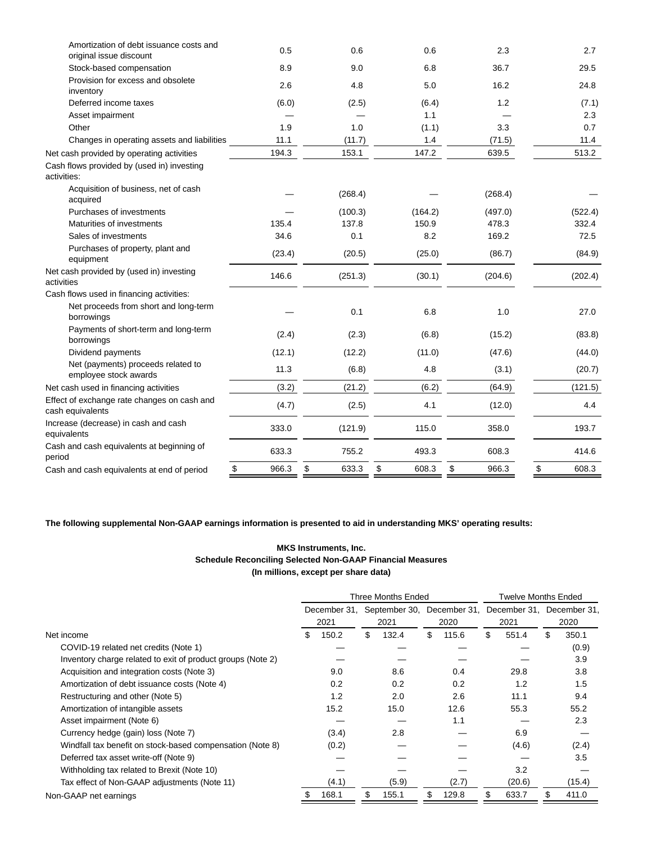| Amortization of debt issuance costs and<br>original issue discount | 0.5         | 0.6         | 0.6         | 2.3         | 2.7         |
|--------------------------------------------------------------------|-------------|-------------|-------------|-------------|-------------|
| Stock-based compensation                                           | 8.9         | 9.0         | 6.8         | 36.7        | 29.5        |
| Provision for excess and obsolete<br>inventory                     | 2.6         | 4.8         | 5.0         | 16.2        | 24.8        |
| Deferred income taxes                                              | (6.0)       | (2.5)       | (6.4)       | 1.2         | (7.1)       |
| Asset impairment                                                   |             |             | 1.1         |             | 2.3         |
| Other                                                              | 1.9         | 1.0         | (1.1)       | 3.3         | 0.7         |
| Changes in operating assets and liabilities                        | 11.1        | (11.7)      | 1.4         | (71.5)      | 11.4        |
| Net cash provided by operating activities                          | 194.3       | 153.1       | 147.2       | 639.5       | 513.2       |
| Cash flows provided by (used in) investing<br>activities:          |             |             |             |             |             |
| Acquisition of business, net of cash<br>acquired                   |             | (268.4)     |             | (268.4)     |             |
| Purchases of investments                                           |             | (100.3)     | (164.2)     | (497.0)     | (522.4)     |
| Maturities of investments                                          | 135.4       | 137.8       | 150.9       | 478.3       | 332.4       |
| Sales of investments                                               | 34.6        | 0.1         | 8.2         | 169.2       | 72.5        |
| Purchases of property, plant and<br>equipment                      | (23.4)      | (20.5)      | (25.0)      | (86.7)      | (84.9)      |
| Net cash provided by (used in) investing<br>activities             | 146.6       | (251.3)     | (30.1)      | (204.6)     | (202.4)     |
| Cash flows used in financing activities:                           |             |             |             |             |             |
| Net proceeds from short and long-term<br>borrowings                |             | 0.1         | 6.8         | 1.0         | 27.0        |
| Payments of short-term and long-term<br>borrowings                 | (2.4)       | (2.3)       | (6.8)       | (15.2)      | (83.8)      |
| Dividend payments                                                  | (12.1)      | (12.2)      | (11.0)      | (47.6)      | (44.0)      |
| Net (payments) proceeds related to<br>employee stock awards        | 11.3        | (6.8)       | 4.8         | (3.1)       | (20.7)      |
| Net cash used in financing activities                              | (3.2)       | (21.2)      | (6.2)       | (64.9)      | (121.5)     |
| Effect of exchange rate changes on cash and<br>cash equivalents    | (4.7)       | (2.5)       | 4.1         | (12.0)      | 4.4         |
| Increase (decrease) in cash and cash<br>equivalents                | 333.0       | (121.9)     | 115.0       | 358.0       | 193.7       |
| Cash and cash equivalents at beginning of<br>period                | 633.3       | 755.2       | 493.3       | 608.3       | 414.6       |
| Cash and cash equivalents at end of period                         | \$<br>966.3 | \$<br>633.3 | \$<br>608.3 | \$<br>966.3 | \$<br>608.3 |

**The following supplemental Non-GAAP earnings information is presented to aid in understanding MKS' operating results:**

## **MKS Instruments, Inc. Schedule Reconciling Selected Non-GAAP Financial Measures (In millions, except per share data)**

|                                                             |              |       |               | Three Months Ended |              |       |                           | <b>Twelve Months Ended</b> |      |        |  |
|-------------------------------------------------------------|--------------|-------|---------------|--------------------|--------------|-------|---------------------------|----------------------------|------|--------|--|
|                                                             | December 31, |       | September 30, |                    | December 31. |       | December 31. December 31. |                            |      |        |  |
|                                                             |              | 2021  | 2021          |                    | 2020         |       | 2021                      |                            | 2020 |        |  |
| Net income                                                  | \$           | 150.2 | \$            | 132.4              | \$           | 115.6 | \$                        | 551.4                      | \$   | 350.1  |  |
| COVID-19 related net credits (Note 1)                       |              |       |               |                    |              |       |                           |                            |      | (0.9)  |  |
| Inventory charge related to exit of product groups (Note 2) |              |       |               |                    |              |       |                           |                            |      | 3.9    |  |
| Acquisition and integration costs (Note 3)                  |              | 9.0   |               | 8.6                |              | 0.4   |                           | 29.8                       |      | 3.8    |  |
| Amortization of debt issuance costs (Note 4)                |              | 0.2   |               | 0.2                |              | 0.2   |                           | 1.2                        |      | 1.5    |  |
| Restructuring and other (Note 5)                            |              | 1.2   |               | 2.0                |              | 2.6   |                           | 11.1                       |      | 9.4    |  |
| Amortization of intangible assets                           |              | 15.2  |               | 15.0               |              | 12.6  |                           | 55.3                       |      | 55.2   |  |
| Asset impairment (Note 6)                                   |              |       |               |                    |              | 1.1   |                           |                            |      | 2.3    |  |
| Currency hedge (gain) loss (Note 7)                         |              | (3.4) |               | 2.8                |              |       |                           | 6.9                        |      |        |  |
| Windfall tax benefit on stock-based compensation (Note 8)   |              | (0.2) |               |                    |              |       |                           | (4.6)                      |      | (2.4)  |  |
| Deferred tax asset write-off (Note 9)                       |              |       |               |                    |              |       |                           |                            |      | 3.5    |  |
| Withholding tax related to Brexit (Note 10)                 |              |       |               |                    |              |       |                           | 3.2                        |      |        |  |
| Tax effect of Non-GAAP adjustments (Note 11)                |              | (4.1) |               | (5.9)              |              | (2.7) |                           | (20.6)                     |      | (15.4) |  |
| Non-GAAP net earnings                                       | \$           | 168.1 | \$            | 155.1              | \$           | 129.8 |                           | 633.7                      | \$.  | 411.0  |  |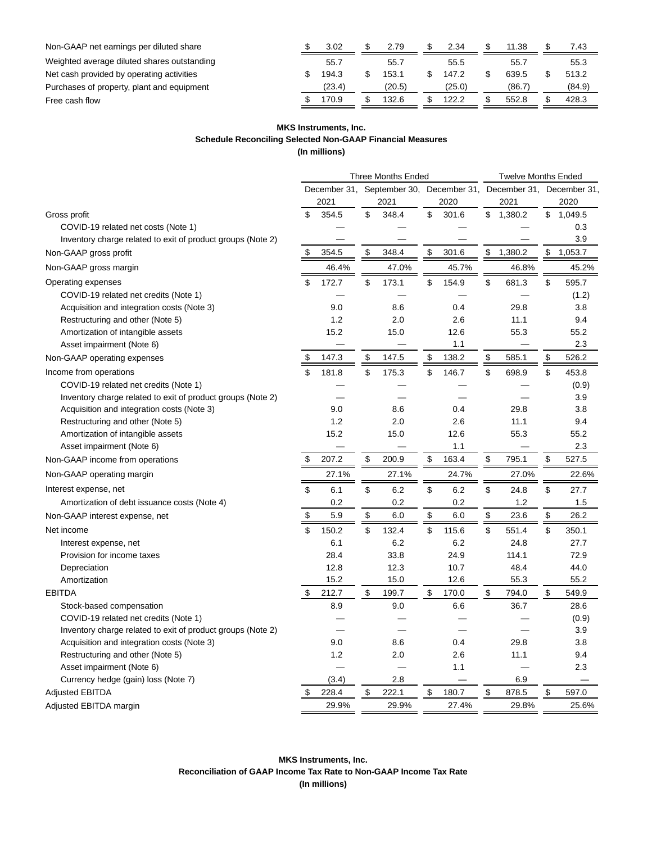| Non-GAAP net earnings per diluted share     | 3.02   | 2.79   | 2.34   | 11.38  | 7.43   |
|---------------------------------------------|--------|--------|--------|--------|--------|
| Weighted average diluted shares outstanding | 55.7   | 55.7   | 55.5   | 55.7   | 55.3   |
| Net cash provided by operating activities   | 194.3  | 153.1  | 147.2  | 639.5  | 513.2  |
| Purchases of property, plant and equipment  | (23.4) | (20.5) | (25.0) | (86.7) | (84.9) |
| Free cash flow                              | 170.9  | 132.6  | 122.2  | 552.8  | 428.3  |

### **MKS Instruments, Inc.**

**Schedule Reconciling Selected Non-GAAP Financial Measures**

**(In millions)**

|                                                             |              |    | <b>Three Months Ended</b> |             | <b>Twelve Months Ended</b> |         |    |                                                      |  |
|-------------------------------------------------------------|--------------|----|---------------------------|-------------|----------------------------|---------|----|------------------------------------------------------|--|
|                                                             | December 31, |    |                           |             |                            |         |    | September 30, December 31, December 31, December 31, |  |
|                                                             | 2021         |    | 2021                      | 2020        |                            | 2021    |    | 2020                                                 |  |
| Gross profit                                                | \$<br>354.5  | \$ | 348.4                     | \$<br>301.6 | \$                         | 1,380.2 | \$ | 1,049.5                                              |  |
| COVID-19 related net costs (Note 1)                         |              |    |                           |             |                            |         |    | 0.3                                                  |  |
| Inventory charge related to exit of product groups (Note 2) |              |    |                           |             |                            |         |    | 3.9                                                  |  |
| Non-GAAP gross profit                                       | \$<br>354.5  | \$ | 348.4                     | \$<br>301.6 | \$                         | 1,380.2 | \$ | 1,053.7                                              |  |
| Non-GAAP gross margin                                       | 46.4%        |    | 47.0%                     | 45.7%       |                            | 46.8%   |    | 45.2%                                                |  |
| Operating expenses                                          | \$<br>172.7  | \$ | 173.1                     | \$<br>154.9 | \$                         | 681.3   | \$ | 595.7                                                |  |
| COVID-19 related net credits (Note 1)                       |              |    |                           |             |                            |         |    | (1.2)                                                |  |
| Acquisition and integration costs (Note 3)                  | 9.0          |    | 8.6                       | 0.4         |                            | 29.8    |    | 3.8                                                  |  |
| Restructuring and other (Note 5)                            | 1.2          |    | 2.0                       | 2.6         |                            | 11.1    |    | 9.4                                                  |  |
| Amortization of intangible assets                           | 15.2         |    | 15.0                      | 12.6        |                            | 55.3    |    | 55.2                                                 |  |
| Asset impairment (Note 6)                                   |              |    |                           | 1.1         |                            |         |    | 2.3                                                  |  |
| Non-GAAP operating expenses                                 | \$<br>147.3  | \$ | 147.5                     | \$<br>138.2 | \$                         | 585.1   | \$ | 526.2                                                |  |
| Income from operations                                      | \$<br>181.8  | \$ | 175.3                     | \$<br>146.7 | \$                         | 698.9   | \$ | 453.8                                                |  |
| COVID-19 related net credits (Note 1)                       |              |    |                           |             |                            |         |    | (0.9)                                                |  |
| Inventory charge related to exit of product groups (Note 2) |              |    |                           |             |                            |         |    | 3.9                                                  |  |
| Acquisition and integration costs (Note 3)                  | 9.0          |    | 8.6                       | 0.4         |                            | 29.8    |    | 3.8                                                  |  |
| Restructuring and other (Note 5)                            | 1.2          |    | 2.0                       | 2.6         |                            | 11.1    |    | 9.4                                                  |  |
| Amortization of intangible assets                           | 15.2         |    | 15.0                      | 12.6        |                            | 55.3    |    | 55.2                                                 |  |
| Asset impairment (Note 6)                                   |              |    |                           | 1.1         |                            |         |    | 2.3                                                  |  |
| Non-GAAP income from operations                             | \$<br>207.2  | \$ | 200.9                     | \$<br>163.4 | \$                         | 795.1   | \$ | 527.5                                                |  |
| Non-GAAP operating margin                                   | 27.1%        |    | 27.1%                     | 24.7%       |                            | 27.0%   |    | 22.6%                                                |  |
| Interest expense, net                                       | \$<br>6.1    | \$ | 6.2                       | \$<br>6.2   | \$                         | 24.8    | \$ | 27.7                                                 |  |
| Amortization of debt issuance costs (Note 4)                | 0.2          |    | 0.2                       | 0.2         |                            | 1.2     |    | 1.5                                                  |  |
| Non-GAAP interest expense, net                              | \$<br>5.9    | \$ | 6.0                       | \$<br>6.0   | \$                         | 23.6    | \$ | 26.2                                                 |  |
| Net income                                                  | \$<br>150.2  | \$ | 132.4                     | \$<br>115.6 | \$                         | 551.4   | \$ | 350.1                                                |  |
| Interest expense, net                                       | 6.1          |    | 6.2                       | 6.2         |                            | 24.8    |    | 27.7                                                 |  |
| Provision for income taxes                                  | 28.4         |    | 33.8                      | 24.9        |                            | 114.1   |    | 72.9                                                 |  |
| Depreciation                                                | 12.8         |    | 12.3                      | 10.7        |                            | 48.4    |    | 44.0                                                 |  |
| Amortization                                                | 15.2         |    | 15.0                      | 12.6        |                            | 55.3    |    | 55.2                                                 |  |
| <b>EBITDA</b>                                               | \$<br>212.7  | \$ | 199.7                     | \$<br>170.0 | \$                         | 794.0   | \$ | 549.9                                                |  |
| Stock-based compensation                                    | 8.9          |    | 9.0                       | 6.6         |                            | 36.7    |    | 28.6                                                 |  |
| COVID-19 related net credits (Note 1)                       |              |    |                           |             |                            |         |    | (0.9)                                                |  |
| Inventory charge related to exit of product groups (Note 2) |              |    |                           |             |                            |         |    | 3.9                                                  |  |
| Acquisition and integration costs (Note 3)                  | 9.0          |    | 8.6                       | 0.4         |                            | 29.8    |    | 3.8                                                  |  |
| Restructuring and other (Note 5)                            | 1.2          |    | 2.0                       | 2.6         |                            | 11.1    |    | 9.4                                                  |  |
| Asset impairment (Note 6)                                   |              |    |                           | 1.1         |                            |         |    | 2.3                                                  |  |
| Currency hedge (gain) loss (Note 7)                         | (3.4)        |    | 2.8                       |             |                            | 6.9     |    |                                                      |  |
| <b>Adjusted EBITDA</b>                                      | 228.4        | \$ | 222.1                     | \$<br>180.7 | \$                         | 878.5   | \$ | 597.0                                                |  |
| Adjusted EBITDA margin                                      | 29.9%        |    | 29.9%                     | 27.4%       |                            | 29.8%   |    | 25.6%                                                |  |

**MKS Instruments, Inc. Reconciliation of GAAP Income Tax Rate to Non-GAAP Income Tax Rate (In millions)**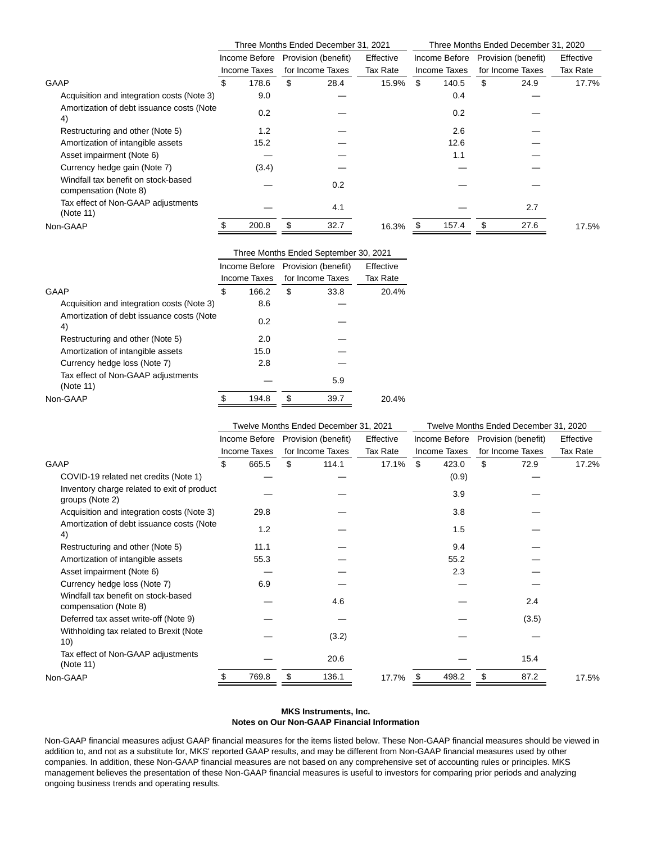|                                                              |                                                   |    | Three Months Ended December 31, 2021 |          | Three Months Ended December 31, 2020 |               |                  |                     |           |  |  |
|--------------------------------------------------------------|---------------------------------------------------|----|--------------------------------------|----------|--------------------------------------|---------------|------------------|---------------------|-----------|--|--|
|                                                              | Effective<br>Provision (benefit)<br>Income Before |    |                                      |          |                                      | Income Before |                  | Provision (benefit) | Effective |  |  |
|                                                              | Income Taxes                                      |    | for Income Taxes                     | Tax Rate |                                      | Income Taxes  | for Income Taxes |                     | Tax Rate  |  |  |
| GAAP                                                         | \$<br>178.6                                       | \$ | 28.4                                 | 15.9%    | \$                                   | 140.5         | \$               | 24.9                | 17.7%     |  |  |
| Acquisition and integration costs (Note 3)                   | 9.0                                               |    |                                      |          |                                      | 0.4           |                  |                     |           |  |  |
| Amortization of debt issuance costs (Note<br>4)              | 0.2                                               |    |                                      |          |                                      | 0.2           |                  |                     |           |  |  |
| Restructuring and other (Note 5)                             | 1.2                                               |    |                                      |          |                                      | 2.6           |                  |                     |           |  |  |
| Amortization of intangible assets                            | 15.2                                              |    |                                      |          |                                      | 12.6          |                  |                     |           |  |  |
| Asset impairment (Note 6)                                    |                                                   |    |                                      |          |                                      | 1.1           |                  |                     |           |  |  |
| Currency hedge gain (Note 7)                                 | (3.4)                                             |    |                                      |          |                                      |               |                  |                     |           |  |  |
| Windfall tax benefit on stock-based<br>compensation (Note 8) |                                                   |    | 0.2                                  |          |                                      |               |                  |                     |           |  |  |
| Tax effect of Non-GAAP adjustments<br>(Note 11)              |                                                   |    | 4.1                                  |          |                                      |               |                  | 2.7                 |           |  |  |
| Non-GAAP                                                     | 200.8                                             |    | 32.7                                 | 16.3%    |                                      | 157.4         |                  | 27.6                | 17.5%     |  |  |
|                                                              |                                                   |    |                                      |          |                                      |               |                  |                     |           |  |  |

|                                                 | Three Months Ended September 30, 2021 |               |    |                     |           |  |  |  |  |  |
|-------------------------------------------------|---------------------------------------|---------------|----|---------------------|-----------|--|--|--|--|--|
|                                                 |                                       | Income Before |    | Provision (benefit) | Effective |  |  |  |  |  |
|                                                 |                                       | Income Taxes  |    | for Income Taxes    | Tax Rate  |  |  |  |  |  |
| GAAP                                            | S                                     | 166.2         | \$ | 33.8                | 20.4%     |  |  |  |  |  |
| Acquisition and integration costs (Note 3)      |                                       | 8.6           |    |                     |           |  |  |  |  |  |
| Amortization of debt issuance costs (Note<br>4) |                                       | 0.2           |    |                     |           |  |  |  |  |  |
| Restructuring and other (Note 5)                |                                       | 2.0           |    |                     |           |  |  |  |  |  |
| Amortization of intangible assets               |                                       | 15.0          |    |                     |           |  |  |  |  |  |
| Currency hedge loss (Note 7)                    |                                       | 2.8           |    |                     |           |  |  |  |  |  |
| Tax effect of Non-GAAP adjustments<br>(Note 11) |                                       |               |    | 5.9                 |           |  |  |  |  |  |
| Non-GAAP                                        |                                       | 194.8         | \$ | 39.7                | 20.4%     |  |  |  |  |  |
|                                                 |                                       |               |    |                     |           |  |  |  |  |  |

|                                                                | Twelve Months Ended December 31, 2021<br>Twelve Months Ended December 31, 2020 |                                                                                           |                              |       |       |                     |       |                  |           |       |
|----------------------------------------------------------------|--------------------------------------------------------------------------------|-------------------------------------------------------------------------------------------|------------------------------|-------|-------|---------------------|-------|------------------|-----------|-------|
|                                                                |                                                                                | Income Before<br>Provision (benefit)<br>Effective<br>Income Before<br>Provision (benefit) |                              |       |       |                     |       |                  | Effective |       |
|                                                                |                                                                                | <b>Income Taxes</b>                                                                       | Tax Rate<br>for Income Taxes |       |       | <b>Income Taxes</b> |       | for Income Taxes | Tax Rate  |       |
| <b>GAAP</b>                                                    | \$                                                                             | 665.5                                                                                     | \$                           | 114.1 | 17.1% | \$                  | 423.0 | \$               | 72.9      | 17.2% |
| COVID-19 related net credits (Note 1)                          |                                                                                |                                                                                           |                              |       |       |                     | (0.9) |                  |           |       |
| Inventory charge related to exit of product<br>groups (Note 2) |                                                                                |                                                                                           |                              |       |       |                     | 3.9   |                  |           |       |
| Acquisition and integration costs (Note 3)                     |                                                                                | 29.8                                                                                      |                              |       |       |                     | 3.8   |                  |           |       |
| Amortization of debt issuance costs (Note<br>4)                |                                                                                | 1.2                                                                                       |                              |       |       |                     | 1.5   |                  |           |       |
| Restructuring and other (Note 5)                               |                                                                                | 11.1                                                                                      |                              |       |       |                     | 9.4   |                  |           |       |
| Amortization of intangible assets                              |                                                                                | 55.3                                                                                      |                              |       |       |                     | 55.2  |                  |           |       |
| Asset impairment (Note 6)                                      |                                                                                |                                                                                           |                              |       |       |                     | 2.3   |                  |           |       |
| Currency hedge loss (Note 7)                                   |                                                                                | 6.9                                                                                       |                              |       |       |                     |       |                  |           |       |
| Windfall tax benefit on stock-based<br>compensation (Note 8)   |                                                                                |                                                                                           |                              | 4.6   |       |                     |       |                  | 2.4       |       |
| Deferred tax asset write-off (Note 9)                          |                                                                                |                                                                                           |                              |       |       |                     |       |                  | (3.5)     |       |
| Withholding tax related to Brexit (Note<br>10)                 |                                                                                |                                                                                           |                              | (3.2) |       |                     |       |                  |           |       |
| Tax effect of Non-GAAP adjustments<br>(Note 11)                |                                                                                |                                                                                           |                              | 20.6  |       |                     |       |                  | 15.4      |       |
| Non-GAAP                                                       |                                                                                | 769.8                                                                                     | \$                           | 136.1 | 17.7% |                     | 498.2 | \$               | 87.2      | 17.5% |
|                                                                |                                                                                |                                                                                           |                              |       |       |                     |       |                  |           |       |

### **MKS Instruments, Inc. Notes on Our Non-GAAP Financial Information**

Non-GAAP financial measures adjust GAAP financial measures for the items listed below. These Non-GAAP financial measures should be viewed in addition to, and not as a substitute for, MKS' reported GAAP results, and may be different from Non-GAAP financial measures used by other companies. In addition, these Non-GAAP financial measures are not based on any comprehensive set of accounting rules or principles. MKS management believes the presentation of these Non-GAAP financial measures is useful to investors for comparing prior periods and analyzing ongoing business trends and operating results.